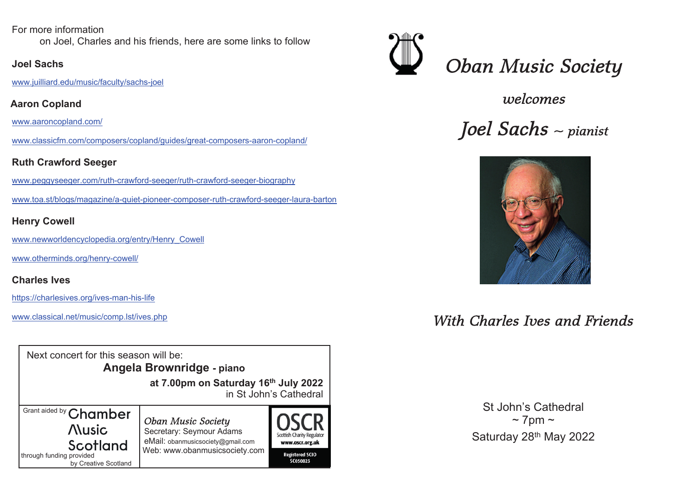#### For more information

on Joel, Charles and his friends, here are some links to follow

### **Joel Sachs**

www.juilliard.edu/music/faculty/sachs-joel

**Aaron Copland**

www.aaroncopland.com/

[www.classicfm.com/composers/copland/guides/great-composers-aaron-copland/](https://www.classicfm.com/composers/copland/guides/great-composers-aaron-copland/)

### **Ruth Crawford Seeger**

www.peggyseeger.com/ruth-crawford-seeger/ruth-crawford-seeger-biography

<www.toa.st/blogs/magazine/a-quiet-pioneer-composer-ruth-crawford-seeger-laura-barton>

## **Henry Cowell**

www.newworldencyclopedia.org/entry/Henry\_Cowell

[www.otherminds.org/henry-cowell/](https://www.otherminds.org/henry-cowell/)

**Charles Ives**

https://charlesives.org/ives-man-his-life

www.classical.net/music/comp.lst/ives.php





welcomes

Joel Sachs  $\sim$  pianist



# With Charles Ives and Friends

St John's Cathedral  $\sim$  7pm  $\sim$